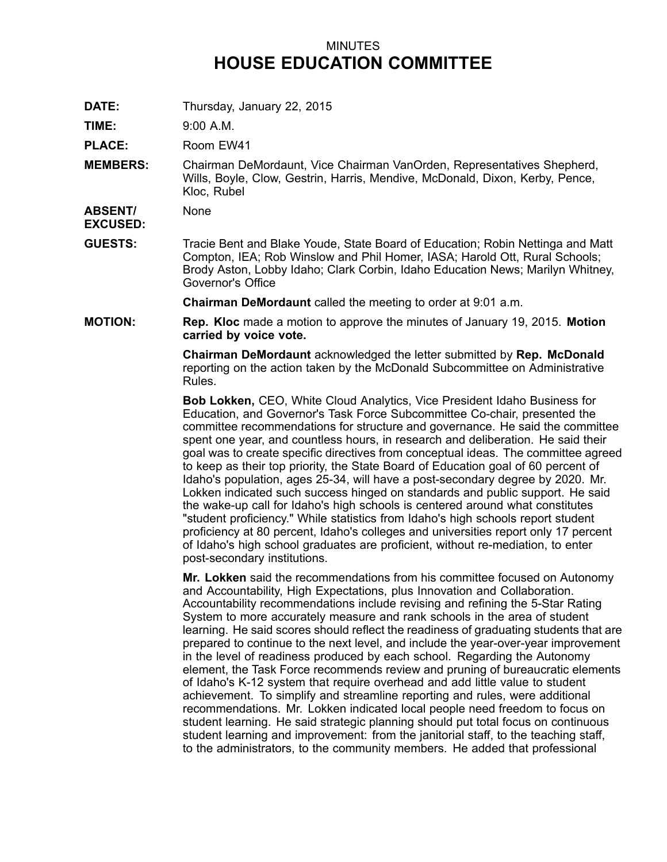## MINUTES **HOUSE EDUCATION COMMITTEE**

**DATE:** Thursday, January 22, 2015

**TIME:** 9:00 A.M.

**PLACE:** Room EW41

**MEMBERS:** Chairman DeMordaunt, Vice Chairman VanOrden, Representatives Shepherd, Wills, Boyle, Clow, Gestrin, Harris, Mendive, McDonald, Dixon, Kerby, Pence, Kloc, Rubel

**ABSENT/** None

**EXCUSED:**

**GUESTS:** Tracie Bent and Blake Youde, State Board of Education; Robin Nettinga and Matt Compton, IEA; Rob Winslow and Phil Homer, IASA; Harold Ott, Rural Schools; Brody Aston, Lobby Idaho; Clark Corbin, Idaho Education News; Marilyn Whitney, Governor's Office

**Chairman DeMordaunt** called the meeting to order at 9:01 a.m.

**MOTION: Rep. Kloc** made <sup>a</sup> motion to approve the minutes of January 19, 2015. **Motion carried by voice vote.**

> **Chairman DeMordaunt** acknowledged the letter submitted by **Rep. McDonald** reporting on the action taken by the McDonald Subcommittee on Administrative Rules.

**Bob Lokken,** CEO, White Cloud Analytics, Vice President Idaho Business for Education, and Governor's Task Force Subcommittee Co-chair, presented the committee recommendations for structure and governance. He said the committee spent one year, and countless hours, in research and deliberation. He said their goal was to create specific directives from conceptual ideas. The committee agreed to keep as their top priority, the State Board of Education goal of 60 percent of Idaho's population, ages 25-34, will have <sup>a</sup> post-secondary degree by 2020. Mr. Lokken indicated such success hinged on standards and public support. He said the wake-up call for Idaho's high schools is centered around what constitutes "student proficiency." While statistics from Idaho's high schools report student proficiency at 80 percent, Idaho's colleges and universities report only 17 percent of Idaho's high school graduates are proficient, without re-mediation, to enter post-secondary institutions.

**Mr. Lokken** said the recommendations from his committee focused on Autonomy and Accountability, High Expectations, plus Innovation and Collaboration. Accountability recommendations include revising and refining the 5-Star Rating System to more accurately measure and rank schools in the area of student learning. He said scores should reflect the readiness of graduating students that are prepared to continue to the next level, and include the year-over-year improvement in the level of readiness produced by each school. Regarding the Autonomy element, the Task Force recommends review and pruning of bureaucratic elements of Idaho's K-12 system that require overhead and add little value to student achievement. To simplify and streamline reporting and rules, were additional recommendations. Mr. Lokken indicated local people need freedom to focus on student learning. He said strategic planning should put total focus on continuous student learning and improvement: from the janitorial staff, to the teaching staff, to the administrators, to the community members. He added that professional